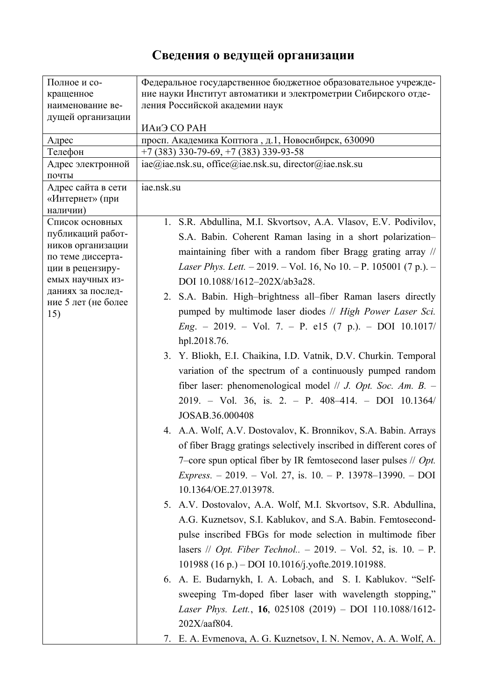## **Сведения о ведущей организации**

| Полное и со-                                                        | Федеральное государственное бюджетное образовательное учрежде-             |
|---------------------------------------------------------------------|----------------------------------------------------------------------------|
| кращенное                                                           | ние науки Институт автоматики и электрометрии Сибирского отде-             |
| наименование ве-                                                    | ления Российской академии наук                                             |
| дущей организации                                                   |                                                                            |
|                                                                     | ИАиЭ СО РАН                                                                |
| Адрес                                                               | просп. Академика Коптюга, д.1, Новосибирск, 630090                         |
| Телефон                                                             | $+7$ (383) 330-79-69, $+7$ (383) 339-93-58                                 |
| Адрес электронной                                                   | iae@iae.nsk.su, office@iae.nsk.su, director@iae.nsk.su                     |
| почты                                                               |                                                                            |
| Адрес сайта в сети                                                  | iae.nsk.su                                                                 |
| «Интернет» (при                                                     |                                                                            |
| наличии)                                                            |                                                                            |
| Список основных<br>публикаций работ-                                | 1. S.R. Abdullina, M.I. Skvortsov, A.A. Vlasov, E.V. Podivilov,            |
|                                                                     | S.A. Babin. Coherent Raman lasing in a short polarization-                 |
| ников организации                                                   | maintaining fiber with a random fiber Bragg grating array //               |
| по теме диссерта-                                                   | Laser Phys. Lett. - 2019. - Vol. 16, No 10. - P. 105001 (7 p.). -          |
| ции в рецензиру-                                                    |                                                                            |
| емых научных из-<br>даниях за послед-<br>ние 5 лет (не более<br>15) | DOI 10.1088/1612-202X/ab3a28.                                              |
|                                                                     | 2. S.A. Babin. High-brightness all-fiber Raman lasers directly             |
|                                                                     | pumped by multimode laser diodes // High Power Laser Sci.                  |
|                                                                     | $Eng. - 2019. - Vol. 7. - P. e15 (7 p.). - DOI 10.1017/$                   |
|                                                                     | hpl.2018.76.                                                               |
|                                                                     |                                                                            |
|                                                                     | 3. Y. Bliokh, E.I. Chaikina, I.D. Vatnik, D.V. Churkin. Temporal           |
|                                                                     | variation of the spectrum of a continuously pumped random                  |
|                                                                     | fiber laser: phenomenological model // <i>J. Opt. Soc. Am. B.</i> $-$      |
|                                                                     | $2019. - Vol. 36$ , is. 2. - P. 408-414. - DOI 10.1364/                    |
|                                                                     |                                                                            |
|                                                                     | JOSAB.36.000408                                                            |
|                                                                     | 4. A.A. Wolf, A.V. Dostovalov, K. Bronnikov, S.A. Babin. Arrays            |
|                                                                     | of fiber Bragg gratings selectively inscribed in different cores of        |
|                                                                     | 7–core spun optical fiber by IR femtosecond laser pulses $//$ <i>Opt</i> . |
|                                                                     |                                                                            |
|                                                                     | <i>Express.</i> - 2019. - Vol. 27, is. 10. - P. 13978-13990. - DOI         |
|                                                                     | 10.1364/OE.27.013978.                                                      |
|                                                                     | 5. A.V. Dostovalov, A.A. Wolf, M.I. Skvortsov, S.R. Abdullina,             |
|                                                                     | A.G. Kuznetsov, S.I. Kablukov, and S.A. Babin. Femtosecond-                |
|                                                                     | pulse inscribed FBGs for mode selection in multimode fiber                 |
|                                                                     | lasers // <i>Opt. Fiber Technol</i> - 2019. - Vol. 52, is. 10. - P.        |
|                                                                     |                                                                            |
|                                                                     | 101988 (16 p.) – DOI 10.1016/j.yofte.2019.101988.                          |
|                                                                     | 6. A. E. Budarnykh, I. A. Lobach, and S. I. Kablukov. "Self-               |
|                                                                     | sweeping Tm-doped fiber laser with wavelength stopping,"                   |
|                                                                     | Laser Phys. Lett., 16, 025108 (2019) - DOI 110.1088/1612-                  |
|                                                                     | 202X/aaf804.                                                               |
|                                                                     | 7. E. A. Evmenova, A. G. Kuznetsov, I. N. Nemov, A. A. Wolf, A.            |